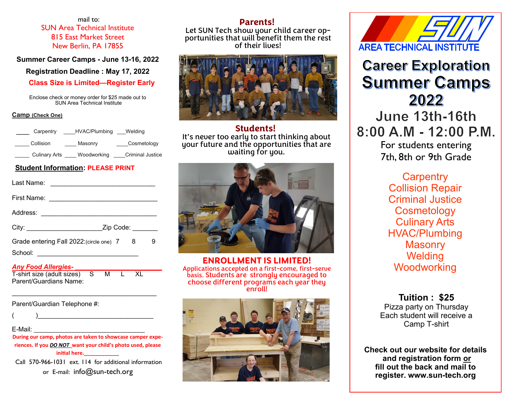mail to: SUN Area Technical Institute 815 East Market Street New Berlin, PA 17855

**Summer Career Camps - June 13-16, 2022** 

**Registration Deadline : May 17, 2022**

 **Class Size is Limited—Register Early**

Enclose check or money order for \$25 made out to SUN Area Technical Institute

#### **Camp (Check One)**

| Carpentry            | HVAC/Plumbing | Welding                 |
|----------------------|---------------|-------------------------|
| Collision            | Masonry       | Cosmetology             |
| <b>Culinary Arts</b> | Woodworking   | <b>Criminal Justice</b> |

#### **Student Information: PLEASE PRINT**

|                     | Last Name: <u>_________________________</u> |   |   |
|---------------------|---------------------------------------------|---|---|
|                     |                                             |   |   |
|                     |                                             |   |   |
|                     |                                             |   |   |
|                     | Grade entering Fall 2022: (circle one) 7    | 8 | 9 |
| Any Food Allernies. |                                             |   |   |

| Any I oud Anulynus             |  |      |  |
|--------------------------------|--|------|--|
| T-shirt size (adult sizes) S M |  | L XL |  |
| Parent/Guardians Name:         |  |      |  |

Parent/Guardian Telephone #:

 $($   $)$ 

E-Mail: \_\_\_\_\_\_\_\_\_\_\_\_\_\_\_\_\_\_\_\_\_\_\_\_\_\_\_\_\_\_\_\_\_\_

**During our camp, photos are taken to showcase camper experiences. If you** *DO NOT* **want your child's photo used, please initial here.\_\_\_\_\_\_\_\_\_\_\_\_**

Call 570-966-1031 ext. 114 for additional information or E-mail: info@sun-tech.org

### **Parents!**

Let SUN Tech show your child career opportunities that will benefit them the rest of their lives!



**Students!** It's never too early to start thinking about your future and the opportunities that are waiting for you.



**ENROLLMENT IS LIMITED!** Applications accepted on a first-come, first-serve basis. Students are strongly encouraged to choose different programs each year they enroll!



**AREA TECHNICAL INSTITU** 

# **Career Exploration Summer Camps** 2022

June 13th-16th  $8:00$  A M - 12:00 P M For students entering

7th, 8th or 9th Grade

**Carpentry** Collision Repair Criminal Justice **Cosmetology** Culinary Arts HVAC/Plumbing **Masonry Welding Woodworking** 

**Tuition : \$25**  Pizza party on Thursday Each student will receive a Camp T-shirt

**Check out our website for details and registration form or fill out the back and mail to register. www.sun-tech.org**